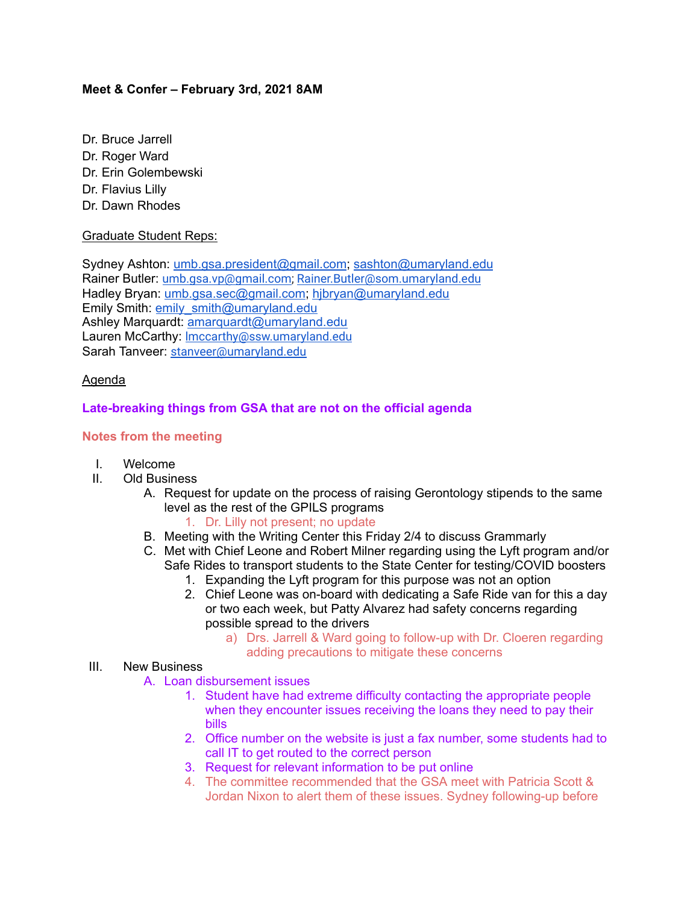### **Meet & Confer – February 3rd, 2021 8AM**

- Dr. Bruce Jarrell
- Dr. Roger Ward
- Dr. Erin Golembewski
- Dr. Flavius Lilly
- Dr. Dawn Rhodes

### Graduate Student Reps:

Sydney Ashton: [umb.gsa.president@gmail.com;](mailto:umb.gsa.president@gmail.com) [sashton@umaryland.edu](mailto:sashton@umaryland.edu) Rainer Butler: [umb.gsa.vp@gmail.com;](mailto:umb.gsa.vp@gmail.com) [Rainer.Butler@som.umaryland.edu](mailto:Rainer.Butler@som.umaryland.edu) Hadley Bryan: [umb.gsa.sec@gmail.com;](mailto:umb.gsa.sec@gmail.com) [hjbryan@umaryland.edu](mailto:hjbryan@umaryland.edu) Emily Smith: [emily\\_smith@umaryland.edu](mailto:emily_smith@umaryland.edu) Ashley Marquardt: [amarquardt@umaryland.edu](mailto:amarquardt@umaryland.edu) Lauren McCarthy: [lmccarthy@ssw.umaryland.edu](mailto:lmccarthy@ssw.umaryland.edu) Sarah Tanveer: [stanveer@umaryland.edu](mailto:lmccarthy@ssw.umaryland.edu)

### Agenda

# **Late-breaking things from GSA that are not on the official agenda**

### **Notes from the meeting**

- I. Welcome
- II. Old Business
	- A. Request for update on the process of raising Gerontology stipends to the same level as the rest of the GPILS programs

### 1. Dr. Lilly not present; no update

- B. Meeting with the Writing Center this Friday 2/4 to discuss Grammarly
- C. Met with Chief Leone and Robert Milner regarding using the Lyft program and/or Safe Rides to transport students to the State Center for testing/COVID boosters
	- 1. Expanding the Lyft program for this purpose was not an option
	- 2. Chief Leone was on-board with dedicating a Safe Ride van for this a day or two each week, but Patty Alvarez had safety concerns regarding possible spread to the drivers
		- a) Drs. Jarrell & Ward going to follow-up with Dr. Cloeren regarding adding precautions to mitigate these concerns

# III. New Business

- A. Loan disbursement issues
	- 1. Student have had extreme difficulty contacting the appropriate people when they encounter issues receiving the loans they need to pay their bills
	- 2. Office number on the website is just a fax number, some students had to call IT to get routed to the correct person
	- 3. Request for relevant information to be put online
	- 4. The committee recommended that the GSA meet with Patricia Scott & Jordan Nixon to alert them of these issues. Sydney following-up before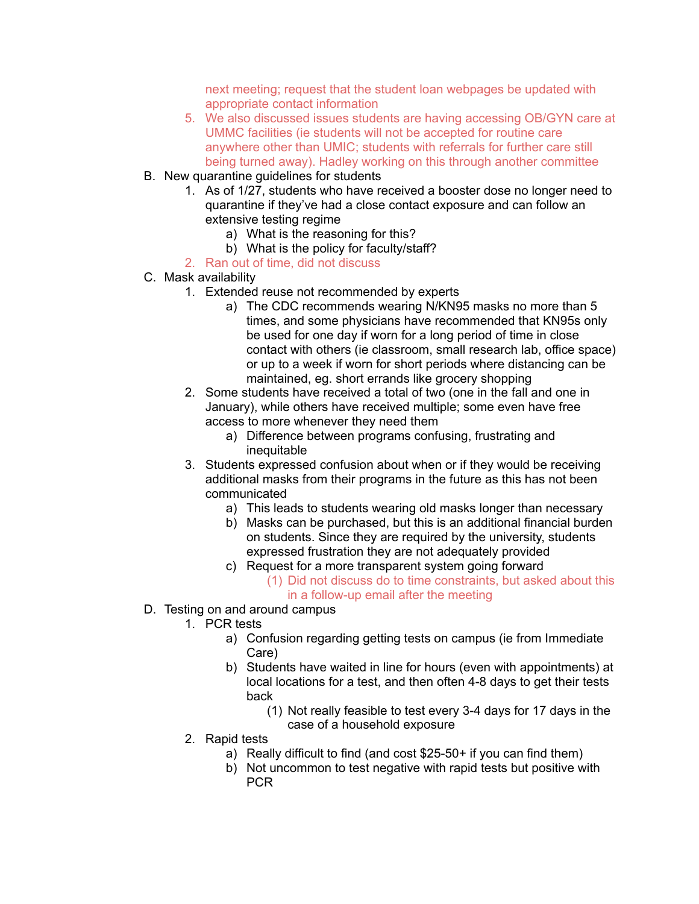next meeting; request that the student loan webpages be updated with appropriate contact information

- 5. We also discussed issues students are having accessing OB/GYN care at UMMC facilities (ie students will not be accepted for routine care anywhere other than UMIC; students with referrals for further care still being turned away). Hadley working on this through another committee
- B. New quarantine guidelines for students
	- 1. As of 1/27, students who have received a booster dose no longer need to quarantine if they've had a close contact exposure and can follow an extensive testing regime
		- a) What is the reasoning for this?
		- b) What is the policy for faculty/staff?
	- 2. Ran out of time, did not discuss
- C. Mask availability
	- 1. Extended reuse not recommended by experts
		- a) The CDC recommends wearing N/KN95 masks no more than 5 times, and some physicians have recommended that KN95s only be used for one day if worn for a long period of time in close contact with others (ie classroom, small research lab, office space) or up to a week if worn for short periods where distancing can be maintained, eg. short errands like grocery shopping
	- 2. Some students have received a total of two (one in the fall and one in January), while others have received multiple; some even have free access to more whenever they need them
		- a) Difference between programs confusing, frustrating and inequitable
	- 3. Students expressed confusion about when or if they would be receiving additional masks from their programs in the future as this has not been communicated
		- a) This leads to students wearing old masks longer than necessary
		- b) Masks can be purchased, but this is an additional financial burden on students. Since they are required by the university, students expressed frustration they are not adequately provided
		- c) Request for a more transparent system going forward
			- (1) Did not discuss do to time constraints, but asked about this in a follow-up email after the meeting
- D. Testing on and around campus
	- 1. PCR tests
		- a) Confusion regarding getting tests on campus (ie from Immediate Care)
		- b) Students have waited in line for hours (even with appointments) at local locations for a test, and then often 4-8 days to get their tests back
			- (1) Not really feasible to test every 3-4 days for 17 days in the case of a household exposure
	- 2. Rapid tests
		- a) Really difficult to find (and cost \$25-50+ if you can find them)
		- b) Not uncommon to test negative with rapid tests but positive with PCR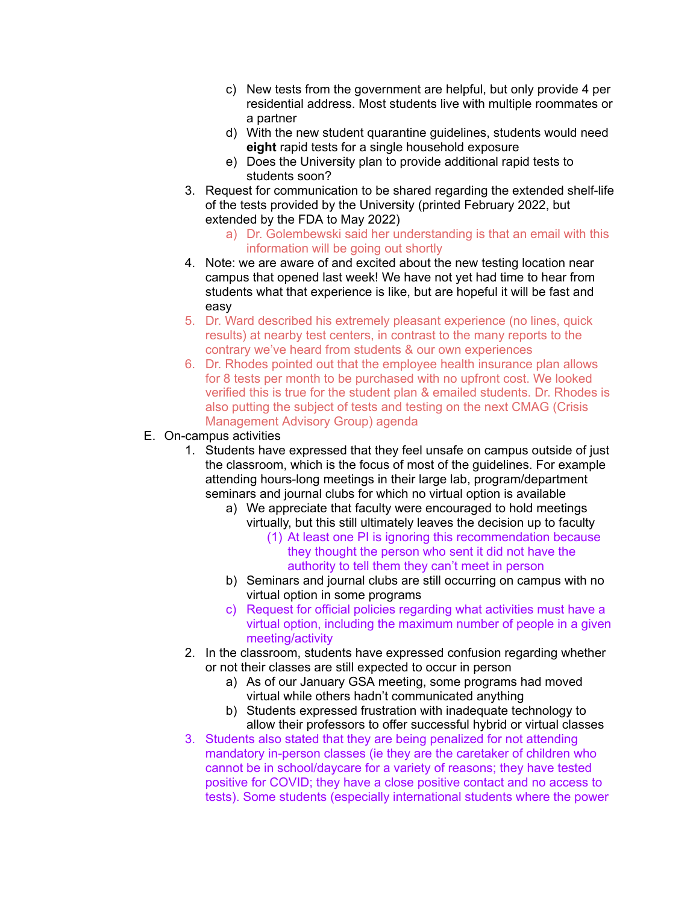- c) New tests from the government are helpful, but only provide 4 per residential address. Most students live with multiple roommates or a partner
- d) With the new student quarantine guidelines, students would need **eight** rapid tests for a single household exposure
- e) Does the University plan to provide additional rapid tests to students soon?
- 3. Request for communication to be shared regarding the extended shelf-life of the tests provided by the University (printed February 2022, but extended by the FDA to May 2022)
	- a) Dr. Golembewski said her understanding is that an email with this information will be going out shortly
- 4. Note: we are aware of and excited about the new testing location near campus that opened last week! We have not yet had time to hear from students what that experience is like, but are hopeful it will be fast and easy
- 5. Dr. Ward described his extremely pleasant experience (no lines, quick results) at nearby test centers, in contrast to the many reports to the contrary we've heard from students & our own experiences
- 6. Dr. Rhodes pointed out that the employee health insurance plan allows for 8 tests per month to be purchased with no upfront cost. We looked verified this is true for the student plan & emailed students. Dr. Rhodes is also putting the subject of tests and testing on the next CMAG (Crisis Management Advisory Group) agenda
- E. On-campus activities
	- 1. Students have expressed that they feel unsafe on campus outside of just the classroom, which is the focus of most of the guidelines. For example attending hours-long meetings in their large lab, program/department seminars and journal clubs for which no virtual option is available
		- a) We appreciate that faculty were encouraged to hold meetings virtually, but this still ultimately leaves the decision up to faculty
			- (1) At least one PI is ignoring this recommendation because they thought the person who sent it did not have the authority to tell them they can't meet in person
		- b) Seminars and journal clubs are still occurring on campus with no virtual option in some programs
		- c) Request for official policies regarding what activities must have a virtual option, including the maximum number of people in a given meeting/activity
	- 2. In the classroom, students have expressed confusion regarding whether or not their classes are still expected to occur in person
		- a) As of our January GSA meeting, some programs had moved virtual while others hadn't communicated anything
		- b) Students expressed frustration with inadequate technology to allow their professors to offer successful hybrid or virtual classes
	- 3. Students also stated that they are being penalized for not attending mandatory in-person classes (ie they are the caretaker of children who cannot be in school/daycare for a variety of reasons; they have tested positive for COVID; they have a close positive contact and no access to tests). Some students (especially international students where the power